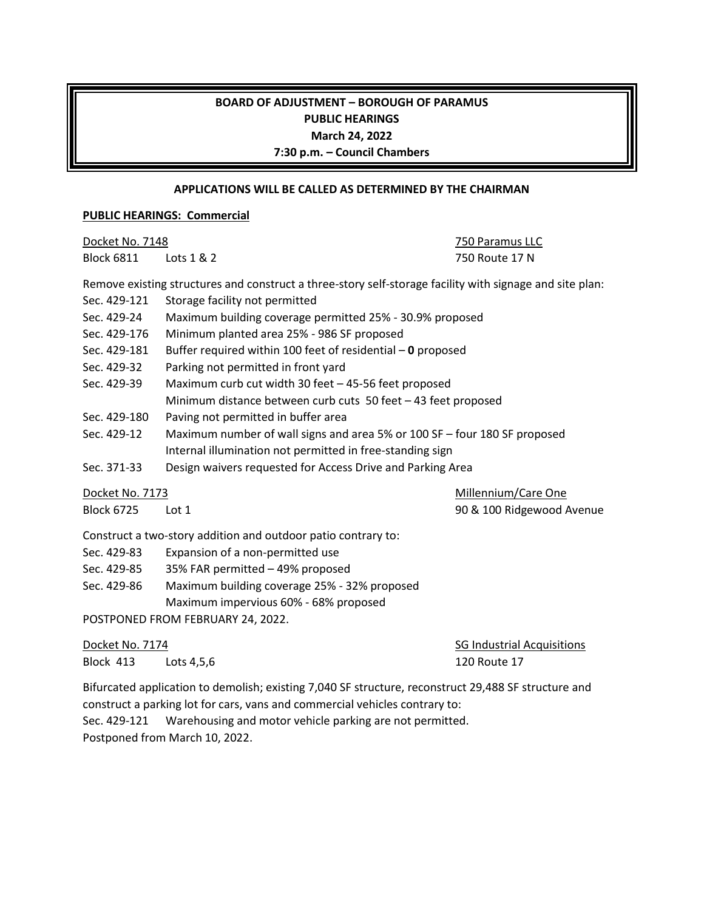## **BOARD OF ADJUSTMENT – BOROUGH OF PARAMUS PUBLIC HEARINGS March 24, 2022 7:30 p.m. – Council Chambers**

### **APPLICATIONS WILL BE CALLED AS DETERMINED BY THE CHAIRMAN**

#### **PUBLIC HEARINGS: Commercial**

| Docket No. 7148                                                                                          |                                                                           | 750 Paramus LLC                   |
|----------------------------------------------------------------------------------------------------------|---------------------------------------------------------------------------|-----------------------------------|
| <b>Block 6811</b>                                                                                        | Lots $1 & 2$                                                              | 750 Route 17 N                    |
| Remove existing structures and construct a three-story self-storage facility with signage and site plan: |                                                                           |                                   |
| Sec. 429-121                                                                                             | Storage facility not permitted                                            |                                   |
| Sec. 429-24                                                                                              | Maximum building coverage permitted 25% - 30.9% proposed                  |                                   |
| Sec. 429-176                                                                                             | Minimum planted area 25% - 986 SF proposed                                |                                   |
| Sec. 429-181                                                                                             | Buffer required within 100 feet of residential $-$ 0 proposed             |                                   |
| Sec. 429-32                                                                                              | Parking not permitted in front yard                                       |                                   |
| Sec. 429-39                                                                                              | Maximum curb cut width 30 feet - 45-56 feet proposed                      |                                   |
|                                                                                                          | Minimum distance between curb cuts 50 feet - 43 feet proposed             |                                   |
| Sec. 429-180                                                                                             | Paving not permitted in buffer area                                       |                                   |
| Sec. 429-12                                                                                              | Maximum number of wall signs and area 5% or 100 SF - four 180 SF proposed |                                   |
|                                                                                                          | Internal illumination not permitted in free-standing sign                 |                                   |
| Sec. 371-33                                                                                              | Design waivers requested for Access Drive and Parking Area                |                                   |
| Docket No. 7173                                                                                          |                                                                           | Millennium/Care One               |
| <b>Block 6725</b>                                                                                        | Lot 1                                                                     | 90 & 100 Ridgewood Avenue         |
| Construct a two-story addition and outdoor patio contrary to:                                            |                                                                           |                                   |
| Sec. 429-83                                                                                              | Expansion of a non-permitted use                                          |                                   |
| Sec. 429-85                                                                                              | 35% FAR permitted - 49% proposed                                          |                                   |
| Sec. 429-86                                                                                              | Maximum building coverage 25% - 32% proposed                              |                                   |
|                                                                                                          | Maximum impervious 60% - 68% proposed                                     |                                   |
| POSTPONED FROM FEBRUARY 24, 2022.                                                                        |                                                                           |                                   |
| Docket No. 7174                                                                                          |                                                                           | <b>SG Industrial Acquisitions</b> |
| Block 413                                                                                                | Lots 4,5,6                                                                | <b>120 Route 17</b>               |

Bifurcated application to demolish; existing 7,040 SF structure, reconstruct 29,488 SF structure and construct a parking lot for cars, vans and commercial vehicles contrary to: Sec. 429-121 Warehousing and motor vehicle parking are not permitted. Postponed from March 10, 2022.